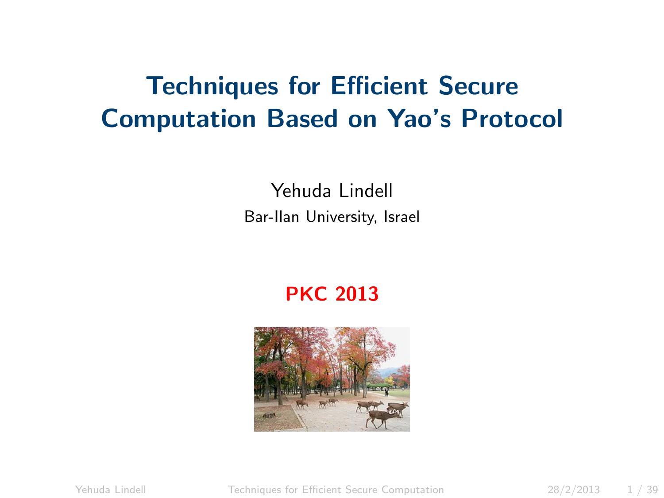### Techniques for Efficient Secure Computation Based on Yao's Protocol

Yehuda Lindell Bar-Ilan University, Israel

#### <span id="page-0-0"></span>PKC 2013



Yehuda Lindell [Techniques for Efficient Secure Computation](#page-38-0) 28/2/2013 1 / 39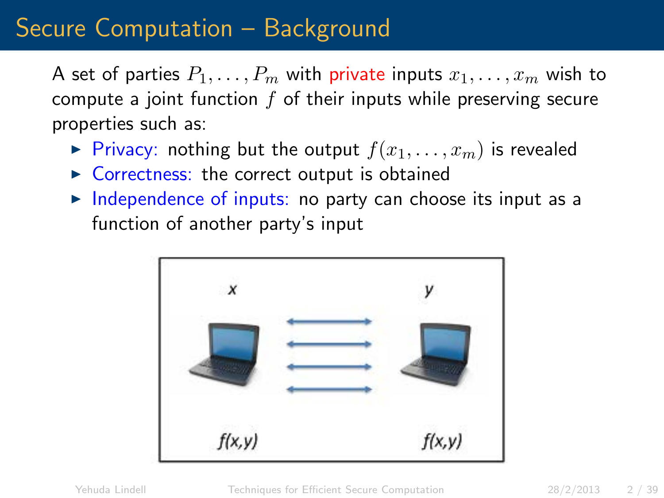### Secure Computation – Background

A set of parties  $P_1, \ldots, P_m$  with private inputs  $x_1, \ldots, x_m$  wish to compute a joint function  $f$  of their inputs while preserving secure properties such as:

- Privacy: nothing but the output  $f(x_1, \ldots, x_m)$  is revealed
- $\triangleright$  Correctness: the correct output is obtained
- $\triangleright$  Independence of inputs: no party can choose its input as a function of another party's input

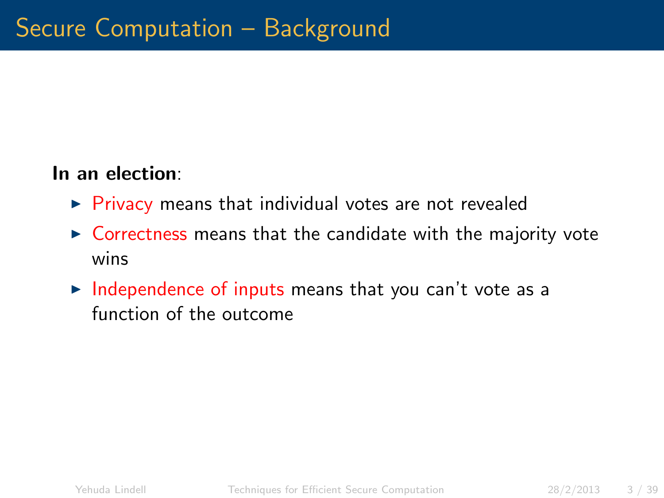#### In an election:

- $\triangleright$  Privacy means that individual votes are not revealed
- $\triangleright$  Correctness means that the candidate with the majority vote wins
- $\triangleright$  Independence of inputs means that you can't vote as a function of the outcome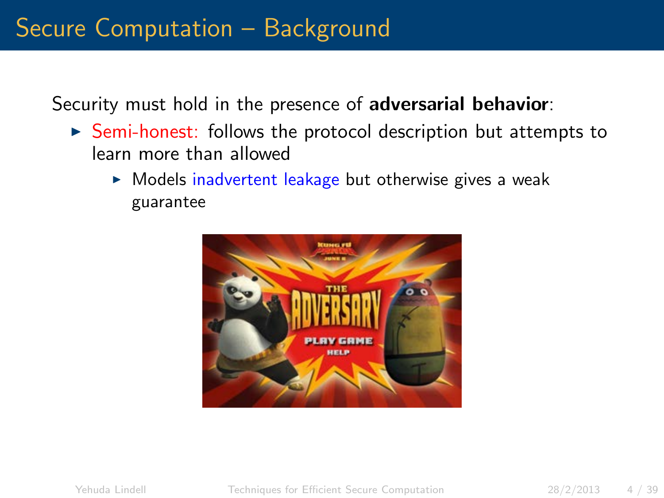Security must hold in the presence of adversarial behavior:

- $\triangleright$  Semi-honest: follows the protocol description but attempts to learn more than allowed
	- $\triangleright$  Models inadvertent leakage but otherwise gives a weak guarantee

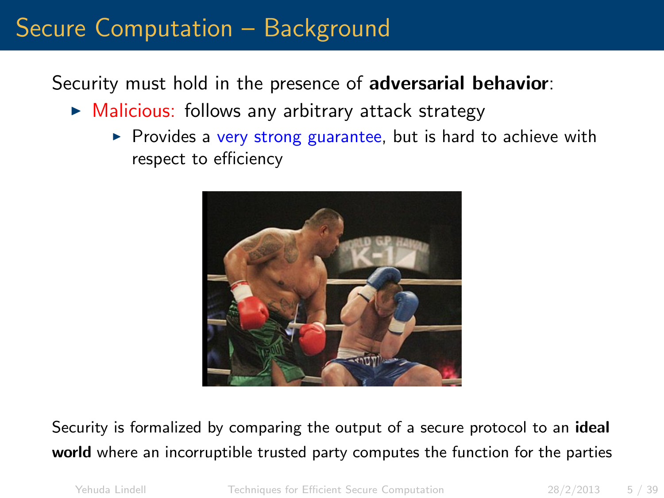### Secure Computation – Background

Security must hold in the presence of adversarial behavior:

- $\triangleright$  Malicious: follows any arbitrary attack strategy
	- $\triangleright$  Provides a very strong guarantee, but is hard to achieve with respect to efficiency



Security is formalized by comparing the output of a secure protocol to an ideal world where an incorruptible trusted party computes the function for the parties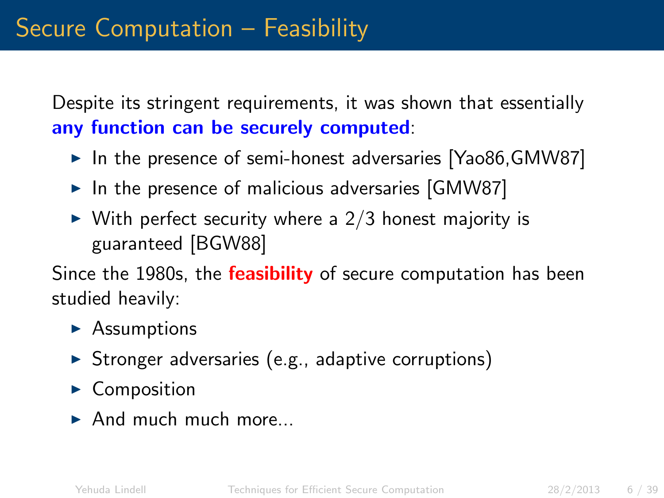Despite its stringent requirements, it was shown that essentially any function can be securely computed:

- $\triangleright$  In the presence of semi-honest adversaries [Yao86,GMW87]
- $\triangleright$  In the presence of malicious adversaries [GMW87]
- $\triangleright$  With perfect security where a 2/3 honest majority is guaranteed [BGW88]

Since the 1980s, the **feasibility** of secure computation has been studied heavily:

- $\blacktriangleright$  Assumptions
- $\triangleright$  Stronger adversaries (e.g., adaptive corruptions)
- $\triangleright$  Composition
- $\blacktriangleright$  And much much more.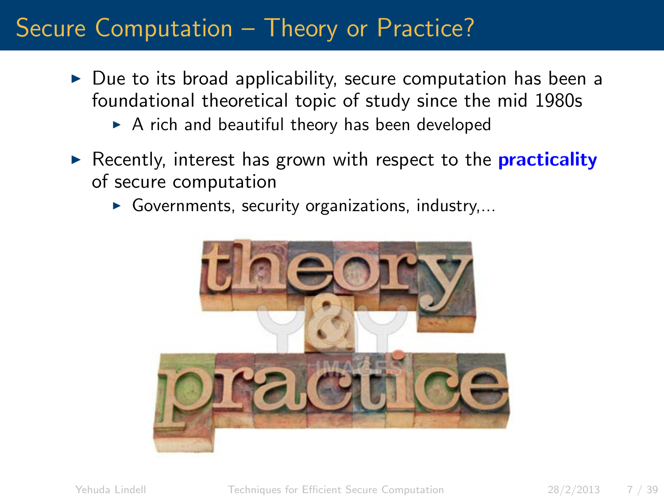### Secure Computation – Theory or Practice?

- $\triangleright$  Due to its broad applicability, secure computation has been a foundational theoretical topic of study since the mid 1980s
	- $\triangleright$  A rich and beautiful theory has been developed
- Recently, interest has grown with respect to the **practicality** of secure computation
	- Governments, security organizations, industry,...

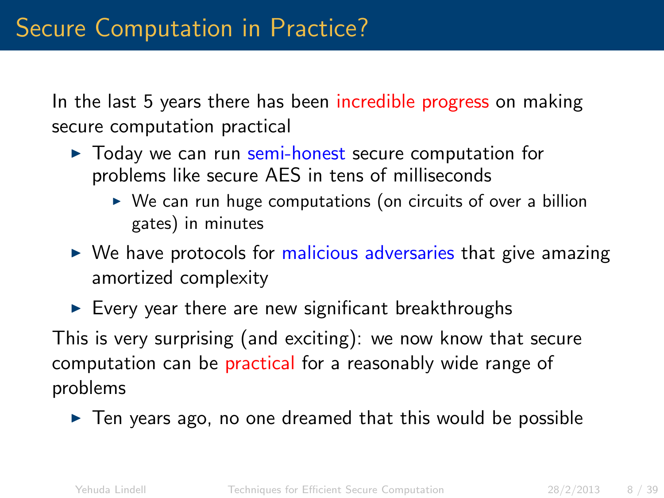In the last 5 years there has been incredible progress on making secure computation practical

- $\triangleright$  Todav we can run semi-honest secure computation for problems like secure AES in tens of milliseconds
	- $\triangleright$  We can run huge computations (on circuits of over a billion gates) in minutes
- $\triangleright$  We have protocols for malicious adversaries that give amazing amortized complexity
- $\triangleright$  Every year there are new significant breakthroughs

This is very surprising (and exciting): we now know that secure computation can be practical for a reasonably wide range of problems

 $\triangleright$  Ten years ago, no one dreamed that this would be possible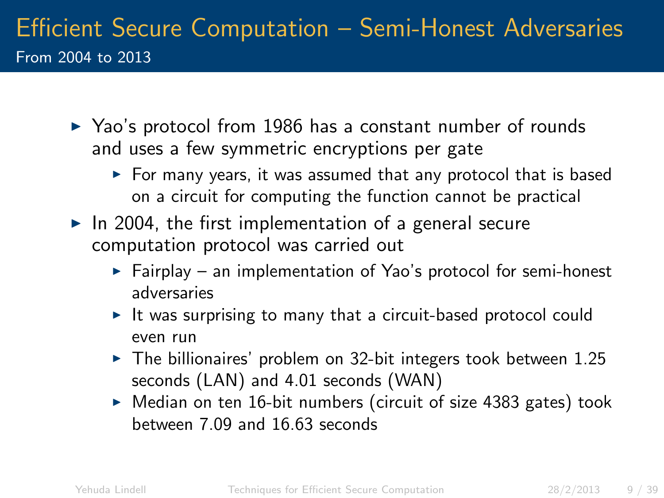### Efficient Secure Computation – Semi-Honest Adversaries From 2004 to 2013

- $\triangleright$  Yao's protocol from 1986 has a constant number of rounds and uses a few symmetric encryptions per gate
	- $\triangleright$  For many years, it was assumed that any protocol that is based on a circuit for computing the function cannot be practical
- $\blacktriangleright$  In 2004, the first implementation of a general secure computation protocol was carried out
	- $\blacktriangleright$  Fairplay an implementation of Yao's protocol for semi-honest adversaries
	- It was surprising to many that a circuit-based protocol could even run
	- $\blacktriangleright$  The billionaires' problem on 32-bit integers took between 1.25 seconds (LAN) and 4.01 seconds (WAN)
	- $\triangleright$  Median on ten 16-bit numbers (circuit of size 4383 gates) took between 7.09 and 16.63 seconds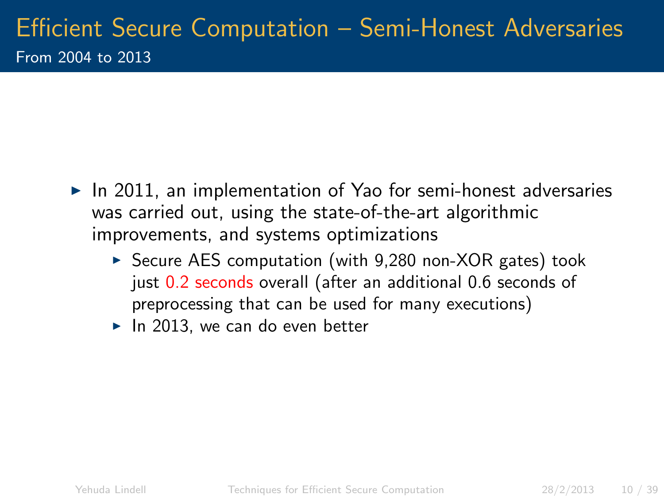- $\blacktriangleright$  In 2011, an implementation of Yao for semi-honest adversaries was carried out, using the state-of-the-art algorithmic improvements, and systems optimizations
	- $\triangleright$  Secure AES computation (with 9,280 non-XOR gates) took just 0.2 seconds overall (after an additional 0.6 seconds of preprocessing that can be used for many executions)
	- $\blacktriangleright$  In 2013, we can do even better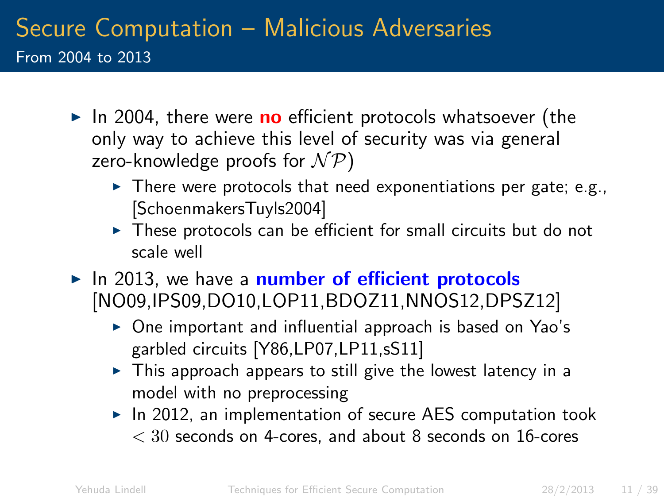### Secure Computation – Malicious Adversaries From 2004 to 2013

- $\triangleright$  In 2004, there were **no** efficient protocols whatsoever (the only way to achieve this level of security was via general zero-knowledge proofs for  $N \mathcal{P}$ )
	- $\triangleright$  There were protocols that need exponentiations per gate; e.g., [SchoenmakersTuyls2004]
	- $\triangleright$  These protocols can be efficient for small circuits but do not scale well
- $\blacktriangleright$  In 2013, we have a number of efficient protocols [NO09,IPS09,DO10,LOP11,BDOZ11,NNOS12,DPSZ12]
	- $\triangleright$  One important and influential approach is based on Yao's garbled circuits [Y86,LP07,LP11,sS11]
	- $\triangleright$  This approach appears to still give the lowest latency in a model with no preprocessing
	- $\triangleright$  In 2012, an implementation of secure AES computation took  $<$  30 seconds on 4-cores, and about 8 seconds on 16-cores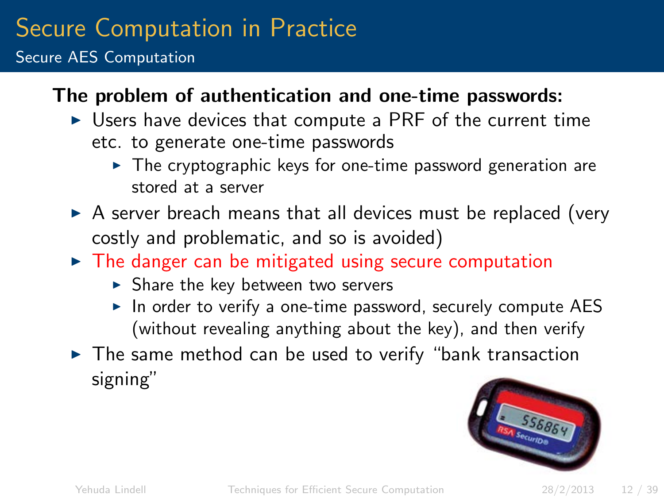## Secure Computation in Practice

Secure AES Computation

#### The problem of authentication and one-time passwords:

- $\triangleright$  Users have devices that compute a PRF of the current time etc. to generate one-time passwords
	- $\triangleright$  The cryptographic keys for one-time password generation are stored at a server
- $\triangleright$  A server breach means that all devices must be replaced (very costly and problematic, and so is avoided)
- $\triangleright$  The danger can be mitigated using secure computation
	- $\triangleright$  Share the key between two servers
	- $\triangleright$  In order to verify a one-time password, securely compute AES (without revealing anything about the key), and then verify
- $\triangleright$  The same method can be used to verify "bank transaction signing"

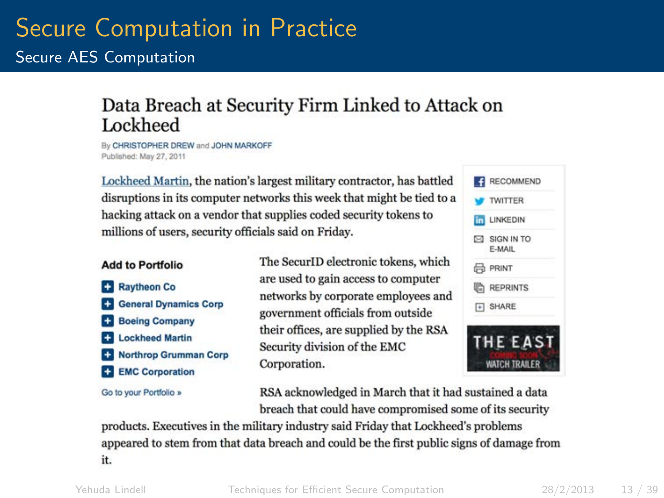## Secure Computation in Practice

Secure AES Computation

#### Data Breach at Security Firm Linked to Attack on **Lockheed**

By CHRISTOPHER DREW and JOHN MARKOFF Published: May 27, 2011

Lockheed Martin, the nation's largest military contractor, has battled disruptions in its computer networks this week that might be tied to a hacking attack on a vendor that supplies coded security tokens to millions of users, security officials said on Friday.

#### **Add to Portfolio**

Raytheon Co. **C** General Dynamics Corp **Boeing Company EX Lockheed Martin** Northrop Grumman Corp **EMC** Corporation

Go to your Portfolio »

The SecurID electronic tokens, which are used to gain access to computer networks by corporate employees and government officials from outside their offices, are supplied by the RSA Security division of the EMC Corporation.

| <b>W TWITTER</b>                 |
|----------------------------------|
| <b>In LINKEDIN</b>               |
| $\boxtimes$ SIGN IN TO<br>F-MAIL |
| <b>品 PRINT</b>                   |
| <b>ED REPRINTS</b>               |
| F SHARE                          |

RSA acknowledged in March that it had sustained a data breach that could have compromised some of its security

products. Executives in the military industry said Friday that Lockheed's problems appeared to stem from that data breach and could be the first public signs of damage from it.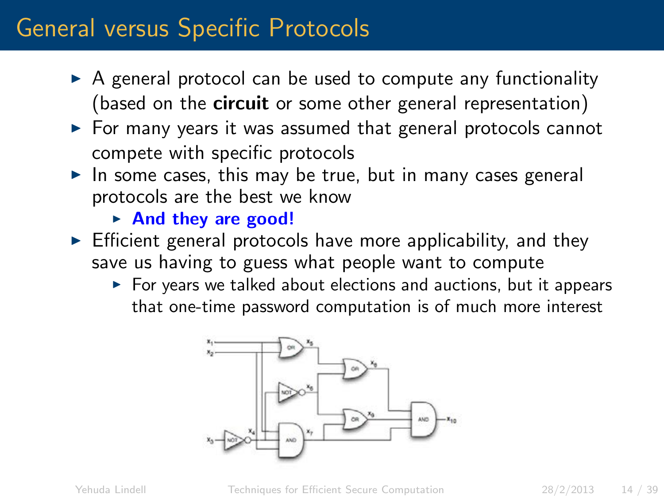### General versus Specific Protocols

- $\triangleright$  A general protocol can be used to compute any functionality (based on the **circuit** or some other general representation)
- $\triangleright$  For many years it was assumed that general protocols cannot compete with specific protocols
- $\triangleright$  In some cases, this may be true, but in many cases general protocols are the best we know
	- $\triangleright$  And they are good!
- $\triangleright$  Efficient general protocols have more applicability, and they save us having to guess what people want to compute
	- $\triangleright$  For years we talked about elections and auctions, but it appears that one-time password computation is of much more interest

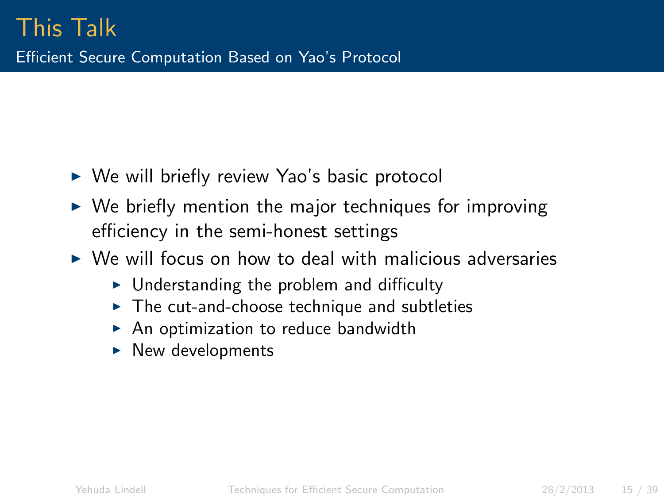- $\triangleright$  We will briefly review Yao's basic protocol
- $\triangleright$  We briefly mention the major techniques for improving efficiency in the semi-honest settings
- $\triangleright$  We will focus on how to deal with malicious adversaries
	- $\triangleright$  Understanding the problem and difficulty
	- $\triangleright$  The cut-and-choose technique and subtleties
	- $\triangleright$  An optimization to reduce bandwidth
	- $\blacktriangleright$  New developments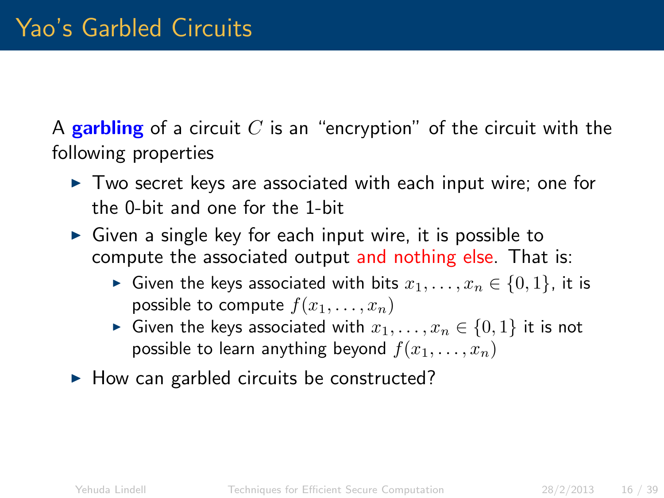A garbling of a circuit C is an "encryption" of the circuit with the following properties

- $\triangleright$  Two secret keys are associated with each input wire; one for the 0-bit and one for the 1-bit
- $\triangleright$  Given a single key for each input wire, it is possible to compute the associated output and nothing else. That is:
	- ► Given the keys associated with bits  $x_1, \ldots, x_n \in \{0, 1\}$ , it is possible to compute  $f(x_1, \ldots, x_n)$
	- ► Given the keys associated with  $x_1, \ldots, x_n \in \{0, 1\}$  it is not possible to learn anything beyond  $f(x_1, \ldots, x_n)$
- $\blacktriangleright$  How can garbled circuits be constructed?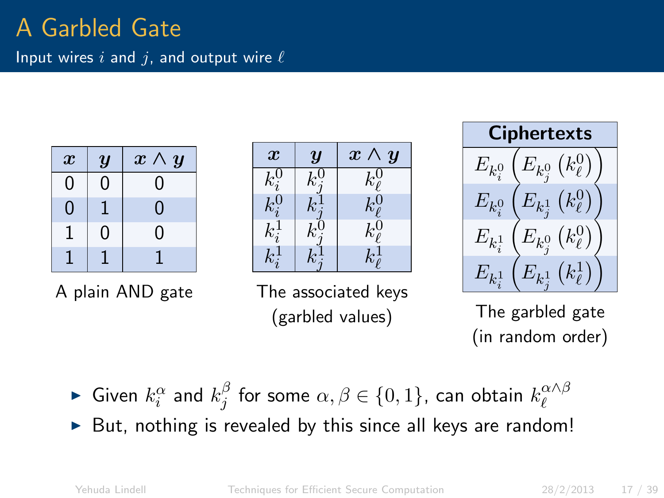# A Garbled Gate

| Input wires $i$ and $j$ , and output wire $\ell$ |  |  |
|--------------------------------------------------|--|--|
|                                                  |  |  |
|                                                  |  |  |

| $\boldsymbol{x}$ | $\boldsymbol{y}$ | $x \wedge y$ |
|------------------|------------------|--------------|
| 0                | Ⴖ                | O            |
| 0                |                  | 0            |
|                  | ი                | 0            |
|                  |                  |              |

A plain AND gate

| $\boldsymbol{x}$        | Y | $\boldsymbol{x}$<br>$\boldsymbol{y}$ |
|-------------------------|---|--------------------------------------|
| $\kappa_{i}$            |   | $k^0_\ell$                           |
| $k_i^{\rm o}$           |   | $k^0_\ell$                           |
| $\kappa_i$ <sup>+</sup> |   | $k^0_\ell$                           |
|                         |   |                                      |

The associated keys (garbled values)



The garbled gate (in random order)

- $\blacktriangleright$  Given  $k_i^{\alpha}$  and  $k_j^{\beta}$  $\frac{\beta}{j}$  for some  $\alpha,\beta\in\{0,1\}$ , can obtain  $k^{\alpha\wedge\beta}_\ell$  $\ell$
- But, nothing is revealed by this since all keys are random!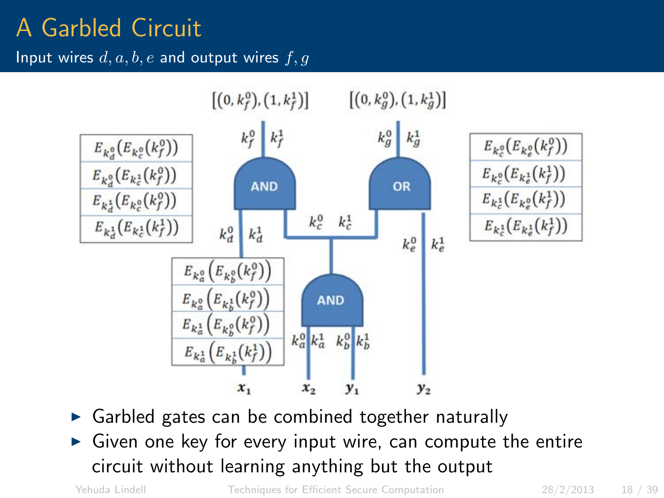### A Garbled Circuit

Input wires  $d, a, b, e$  and output wires  $f, q$ 



- Garbled gates can be combined together naturally
- Given one key for every input wire, can compute the entire circuit without learning anything but the output

Yehuda Lindell [Techniques for Efficient Secure Computation](#page-0-0) 28/2/2013 18 / 39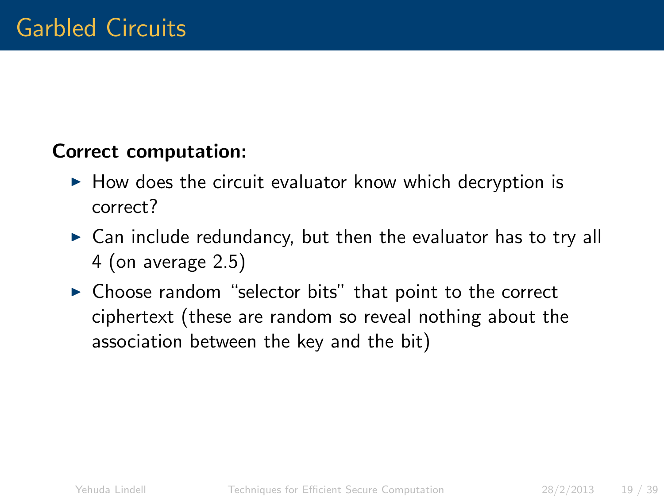#### Correct computation:

- $\triangleright$  How does the circuit evaluator know which decryption is correct?
- $\triangleright$  Can include redundancy, but then the evaluator has to try all 4 (on average 2.5)
- $\triangleright$  Choose random "selector bits" that point to the correct ciphertext (these are random so reveal nothing about the association between the key and the bit)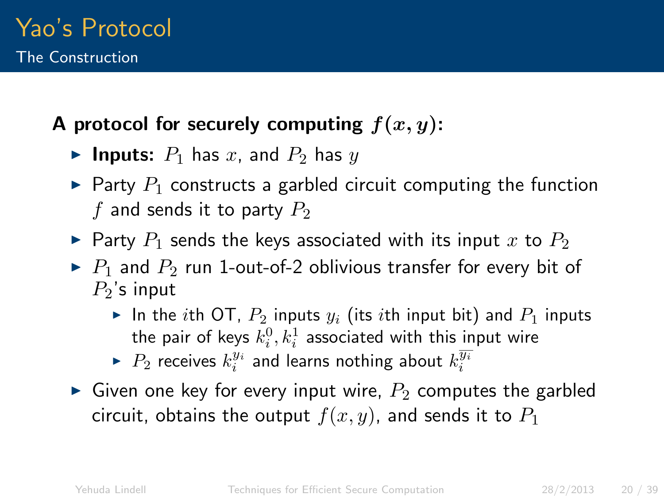#### A protocol for securely computing  $f(x, y)$ :

- **Inputs:**  $P_1$  has  $x$ , and  $P_2$  has  $y$
- $\blacktriangleright$  Party  $P_1$  constructs a garbled circuit computing the function f and sends it to party  $P_2$
- $\blacktriangleright$  Party  $P_1$  sends the keys associated with its input x to  $P_2$
- $\triangleright$  P<sub>1</sub> and P<sub>2</sub> run 1-out-of-2 oblivious transfer for every bit of  $P<sub>2</sub>$ 's input
	- In the ith OT,  $P_2$  inputs  $y_i$  (its ith input bit) and  $P_1$  inputs the pair of keys  $k_i^0, k_i^1$  associated with this input wire
	- $\blacktriangleright$   $P_2$  receives  $k_i^{y_i}$  and learns nothing about  $k_i^{\overline{y_i}}$
- Given one key for every input wire,  $P_2$  computes the garbled circuit, obtains the output  $f(x, y)$ , and sends it to  $P_1$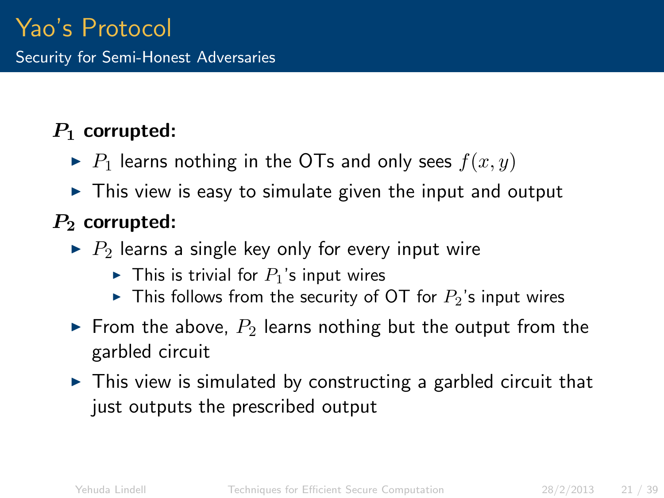#### $P_1$  corrupted:

- $\blacktriangleright$  P<sub>1</sub> learns nothing in the OTs and only sees  $f(x, y)$
- $\triangleright$  This view is easy to simulate given the input and output

#### $P_2$  corrupted:

- $\blacktriangleright$  P<sub>2</sub> learns a single key only for every input wire
	- $\blacktriangleright$  This is trivial for  $P_1$ 's input wires
	- In This follows from the security of OT for  $P_2$ 's input wires
- From the above,  $P_2$  learns nothing but the output from the garbled circuit
- $\triangleright$  This view is simulated by constructing a garbled circuit that just outputs the prescribed output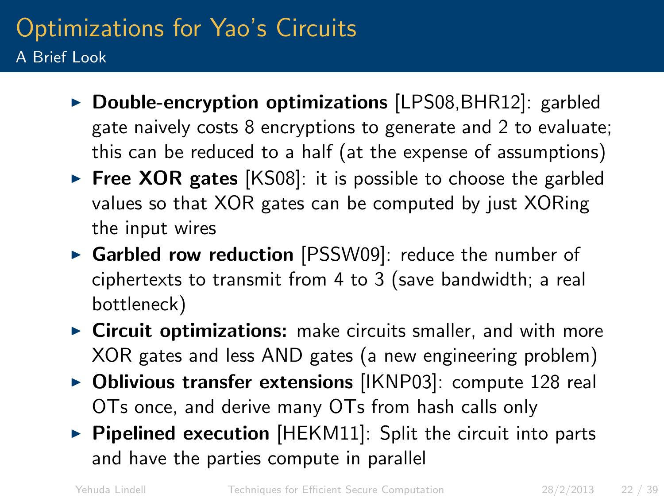### Optimizations for Yao's Circuits A Brief Look

- $\triangleright$  Double-encryption optimizations [LPS08, BHR12]: garbled gate naively costs 8 encryptions to generate and 2 to evaluate; this can be reduced to a half (at the expense of assumptions)
- Free XOR gates  $[KS08]$ : it is possible to choose the garbled values so that XOR gates can be computed by just XORing the input wires
- $\triangleright$  Garbled row reduction [PSSW09]: reduce the number of ciphertexts to transmit from 4 to 3 (save bandwidth; a real bottleneck)
- $\triangleright$  Circuit optimizations: make circuits smaller, and with more XOR gates and less AND gates (a new engineering problem)
- $\triangleright$  Oblivious transfer extensions [IKNP03]: compute 128 real OTs once, and derive many OTs from hash calls only
- $\triangleright$  Pipelined execution [HEKM11]: Split the circuit into parts and have the parties compute in parallel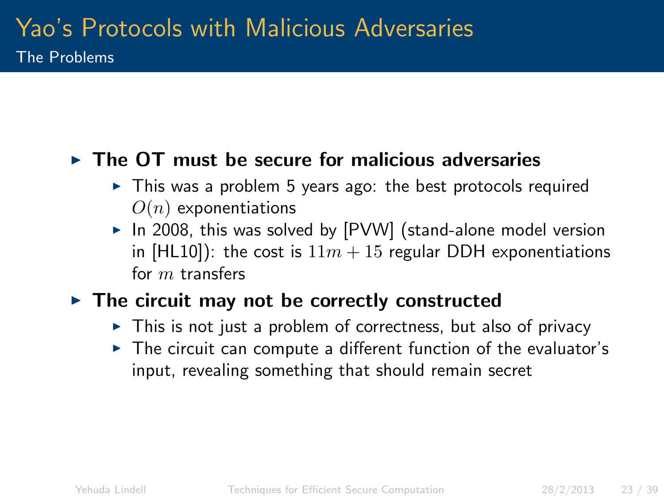#### $\triangleright$  The OT must be secure for malicious adversaries

- $\triangleright$  This was a problem 5 years ago: the best protocols required  $O(n)$  exponentiations
- $\triangleright$  In 2008, this was solved by [PVW] (stand-alone model version in [HL10]): the cost is  $11m + 15$  regular DDH exponentiations for m transfers

#### $\triangleright$  The circuit may not be correctly constructed

- $\triangleright$  This is not just a problem of correctness, but also of privacy
- $\triangleright$  The circuit can compute a different function of the evaluator's input, revealing something that should remain secret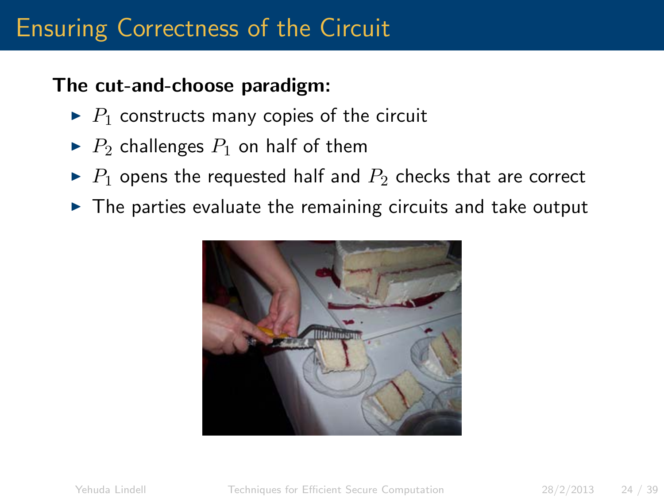### Ensuring Correctness of the Circuit

#### The cut-and-choose paradigm:

- $\blacktriangleright$  P<sub>1</sub> constructs many copies of the circuit
- $\blacktriangleright$   $P_2$  challenges  $P_1$  on half of them
- $\blacktriangleright$  P<sub>1</sub> opens the requested half and  $P_2$  checks that are correct
- $\triangleright$  The parties evaluate the remaining circuits and take output

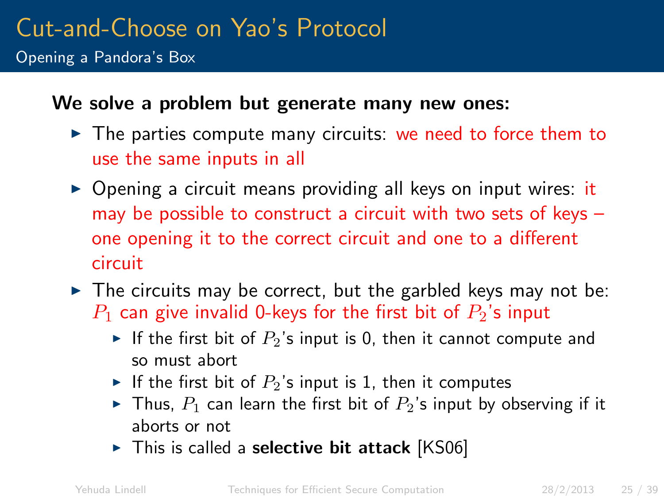Opening a Pandora's Box

#### We solve a problem but generate many new ones:

- $\triangleright$  The parties compute many circuits: we need to force them to use the same inputs in all
- $\triangleright$  Opening a circuit means providing all keys on input wires: it may be possible to construct a circuit with two sets of keys – one opening it to the correct circuit and one to a different circuit
- $\triangleright$  The circuits may be correct, but the garbled keys may not be:  $P_1$  can give invalid 0-keys for the first bit of  $P_2$ 's input
	- If the first bit of  $P_2$ 's input is 0, then it cannot compute and so must abort
	- If the first bit of  $P_2$ 's input is 1, then it computes
	- In Thus,  $P_1$  can learn the first bit of  $P_2$ 's input by observing if it aborts or not
	- $\triangleright$  This is called a selective bit attack [KS06]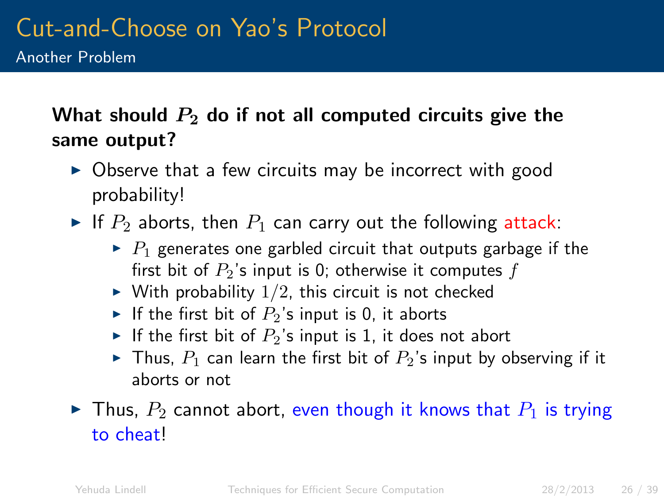#### What should  $P_2$  do if not all computed circuits give the same output?

- $\triangleright$  Observe that a few circuits may be incorrect with good probability!
- If  $P_2$  aborts, then  $P_1$  can carry out the following attack:
	- $\triangleright$  P<sub>1</sub> generates one garbled circuit that outputs garbage if the first bit of  $P_2$ 's input is 0; otherwise it computes f
	- $\triangleright$  With probability  $1/2$ , this circuit is not checked
	- If the first bit of  $P_2$ 's input is 0, it aborts
	- If the first bit of  $P_2$ 's input is 1, it does not abort
	- In Thus,  $P_1$  can learn the first bit of  $P_2$ 's input by observing if it aborts or not

#### In Thus,  $P_2$  cannot abort, even though it knows that  $P_1$  is trying to cheat!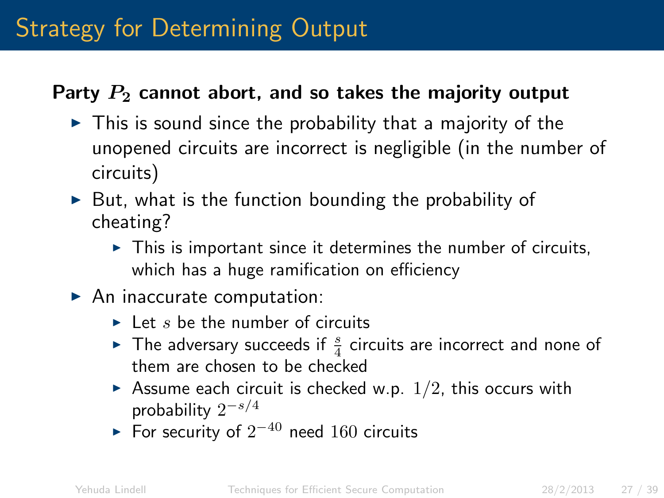### Strategy for Determining Output

#### Party  $P_2$  cannot abort, and so takes the majority output

- $\triangleright$  This is sound since the probability that a majority of the unopened circuits are incorrect is negligible (in the number of circuits)
- $\triangleright$  But, what is the function bounding the probability of cheating?
	- $\triangleright$  This is important since it determines the number of circuits, which has a huge ramification on efficiency
- $\blacktriangleright$  An inaccurate computation:
	- $\blacktriangleright$  Let s be the number of circuits
	- The adversary succeeds if  $\frac{s}{4}$  circuits are incorrect and none of them are chosen to be checked
	- Assume each circuit is checked w.p.  $1/2$ , this occurs with probability  $2^{-s/4}$
	- ► For security of  $2^{-40}$  need  $160$  circuits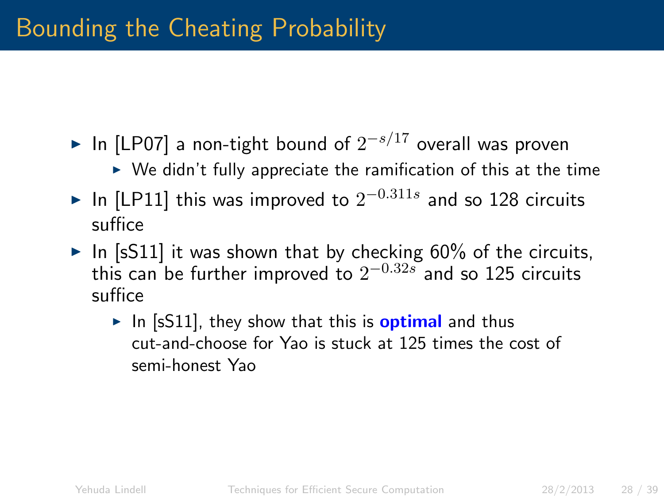- ► In [LP07] a non-tight bound of  $2^{-s/17}$  overall was proven
	- $\triangleright$  We didn't fully appreciate the ramification of this at the time
- ► In [LP11] this was improved to  $2^{-0.311s}$  and so 128 circuits suffice
- In [sS11] it was shown that by checking  $60\%$  of the circuits, this can be further improved to  $2^{-0.32s}$  and so 125 circuits suffice
	- In  $[sS11]$ , they show that this is **optimal** and thus cut-and-choose for Yao is stuck at 125 times the cost of semi-honest Yao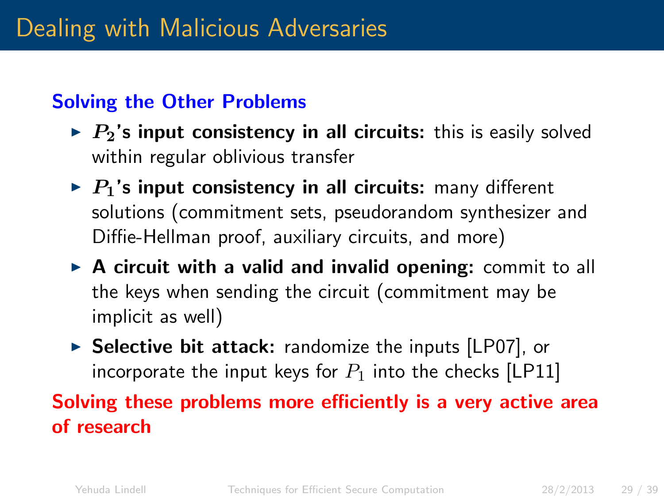#### Solving the Other Problems

- $\triangleright$   $P_2$ 's input consistency in all circuits: this is easily solved within regular oblivious transfer
- $\triangleright$  P<sub>1</sub>'s input consistency in all circuits: many different solutions (commitment sets, pseudorandom synthesizer and Diffie-Hellman proof, auxiliary circuits, and more)
- $\triangleright$  A circuit with a valid and invalid opening: commit to all the keys when sending the circuit (commitment may be implicit as well)
- $\triangleright$  Selective bit attack: randomize the inputs [LP07], or incorporate the input keys for  $P_1$  into the checks [LP11]

#### Solving these problems more efficiently is a very active area of research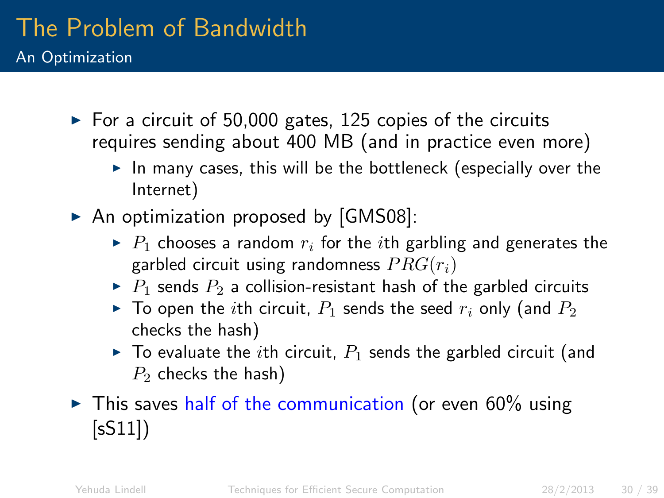#### The Problem of Bandwidth An Optimization

- $\triangleright$  For a circuit of 50,000 gates, 125 copies of the circuits requires sending about 400 MB (and in practice even more)
	- $\blacktriangleright$  In many cases, this will be the bottleneck (especially over the Internet)
- $\triangleright$  An optimization proposed by [GMS08]:
	- $\blacktriangleright$  P<sub>1</sub> chooses a random  $r_i$  for the *i*th garbling and generates the garbled circuit using randomness  $PRG(r_i)$
	- $\triangleright$  P<sub>1</sub> sends P<sub>2</sub> a collision-resistant hash of the garbled circuits
	- $\blacktriangleright$  To open the *i*th circuit,  $P_1$  sends the seed  $r_i$  only (and  $P_2$ checks the hash)
	- $\triangleright$  To evaluate the *i*th circuit,  $P_1$  sends the garbled circuit (and  $P_2$  checks the hash)
- $\triangleright$  This saves half of the communication (or even 60% using [sS11])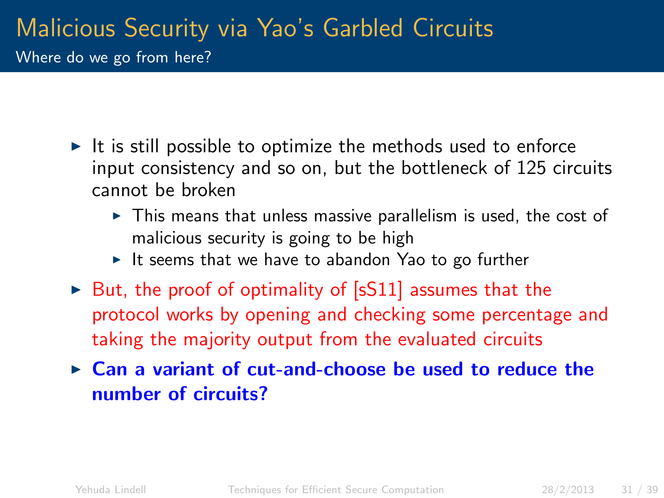#### Malicious Security via Yao's Garbled Circuits Where do we go from here?

- $\triangleright$  It is still possible to optimize the methods used to enforce input consistency and so on, but the bottleneck of 125 circuits cannot be broken
	- $\triangleright$  This means that unless massive parallelism is used, the cost of malicious security is going to be high
	- It seems that we have to abandon Yao to go further
- $\triangleright$  But, the proof of optimality of [sS11] assumes that the protocol works by opening and checking some percentage and taking the majority output from the evaluated circuits
- $\triangleright$  Can a variant of cut-and-choose be used to reduce the number of circuits?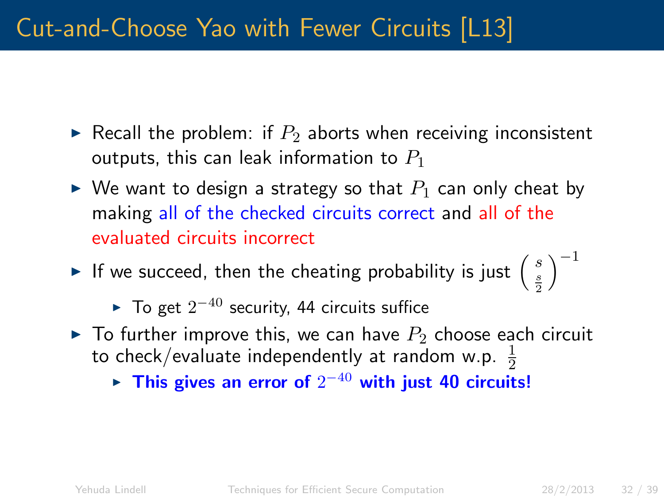### Cut-and-Choose Yao with Fewer Circuits [L13]

- Recall the problem: if  $P_2$  aborts when receiving inconsistent outputs, this can leak information to  $P_1$
- $\triangleright$  We want to design a strategy so that  $P_1$  can only cheat by making all of the checked circuits correct and all of the evaluated circuits incorrect
- If we succeed, then the cheating probability is just  $\begin{pmatrix} s \\ \frac{s}{2} \end{pmatrix}$  $\big)^{-1}$

► To get  $2^{-40}$  security, 44 circuits suffice

- $\triangleright$  To further improve this, we can have  $P_2$  choose each circuit to check/evaluate independently at random w.p.  $\frac{1}{2}$ 
	- ► This gives an error of  $2^{-40}$  with just 40 circuits!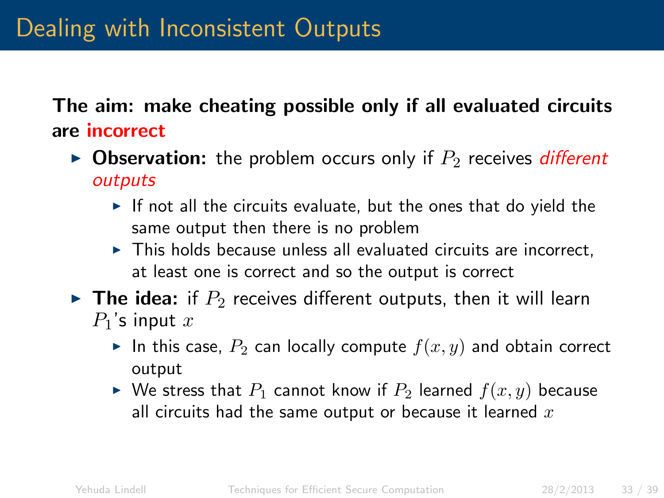The aim: make cheating possible only if all evaluated circuits are incorrect

- **Observation:** the problem occurs only if  $P_2$  receives *different* outputs
	- $\triangleright$  If not all the circuits evaluate, but the ones that do yield the same output then there is no problem
	- $\triangleright$  This holds because unless all evaluated circuits are incorrect. at least one is correct and so the output is correct
- $\triangleright$  The idea: if  $P_2$  receives different outputs, then it will learn  $P_1$ 's input  $x$ 
	- In this case,  $P_2$  can locally compute  $f(x, y)$  and obtain correct output
	- $\blacktriangleright$  We stress that  $P_1$  cannot know if  $P_2$  learned  $f(x, y)$  because all circuits had the same output or because it learned  $x$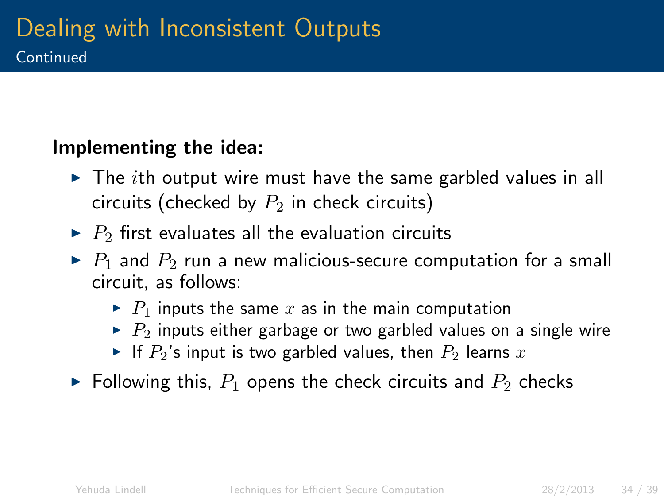#### Implementing the idea:

- $\triangleright$  The *i*th output wire must have the same garbled values in all circuits (checked by  $P_2$  in check circuits)
- $\blacktriangleright$  P<sub>2</sub> first evaluates all the evaluation circuits
- $\triangleright$  P<sub>1</sub> and P<sub>2</sub> run a new malicious-secure computation for a small circuit, as follows:
	- $\blacktriangleright$  P<sub>1</sub> inputs the same x as in the main computation
	- $\blacktriangleright$  P<sub>2</sub> inputs either garbage or two garbled values on a single wire
	- If  $P_2$ 's input is two garbled values, then  $P_2$  learns x
- $\blacktriangleright$  Following this,  $P_1$  opens the check circuits and  $P_2$  checks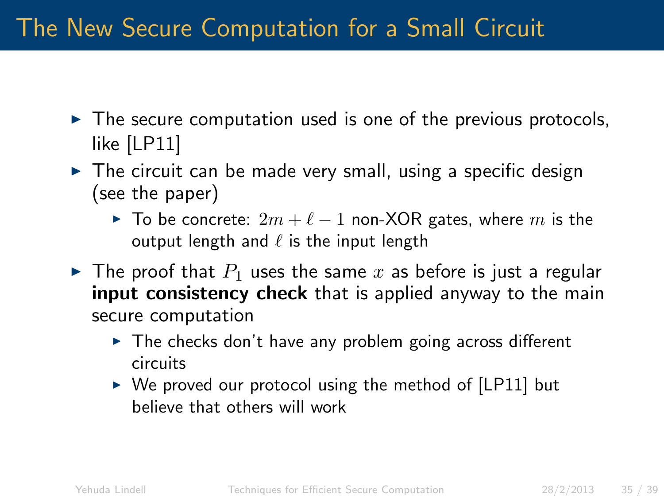### The New Secure Computation for a Small Circuit

- $\triangleright$  The secure computation used is one of the previous protocols, like [LP11]
- $\triangleright$  The circuit can be made very small, using a specific design (see the paper)
	- ► To be concrete:  $2m + \ell 1$  non-XOR gates, where m is the output length and  $\ell$  is the input length
- $\blacktriangleright$  The proof that  $P_1$  uses the same x as before is just a regular **input consistency check** that is applied anyway to the main secure computation
	- $\triangleright$  The checks don't have any problem going across different circuits
	- $\triangleright$  We proved our protocol using the method of [LP11] but believe that others will work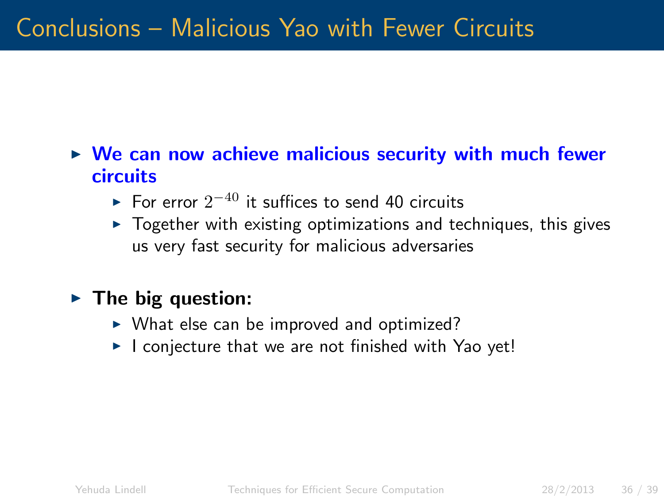### Conclusions – Malicious Yao with Fewer Circuits

#### $\triangleright$  We can now achieve malicious security with much fewer circuits

- ► For error  $2^{-40}$  it suffices to send 40 circuits
- $\triangleright$  Together with existing optimizations and techniques, this gives us very fast security for malicious adversaries

#### $\blacktriangleright$  The big question:

- $\triangleright$  What else can be improved and optimized?
- $\blacktriangleright$  I conjecture that we are not finished with Yao yet!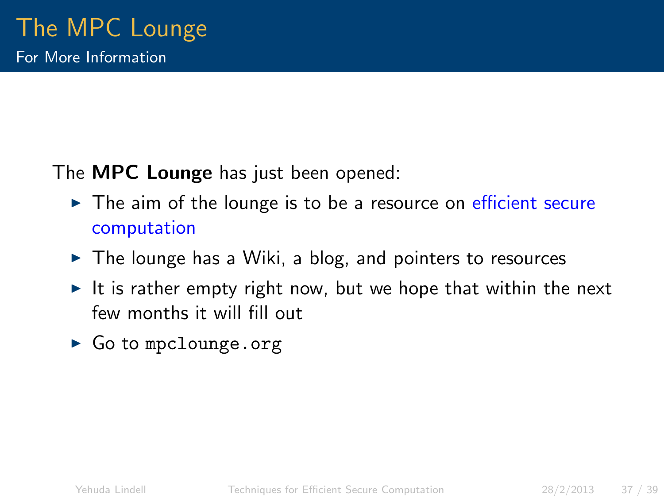The **MPC Lounge** has just been opened:

- $\triangleright$  The aim of the lounge is to be a resource on efficient secure computation
- $\blacktriangleright$  The lounge has a Wiki, a blog, and pointers to resources
- It is rather empty right now, but we hope that within the next few months it will fill out
- $\triangleright$  Go to mpclounge.org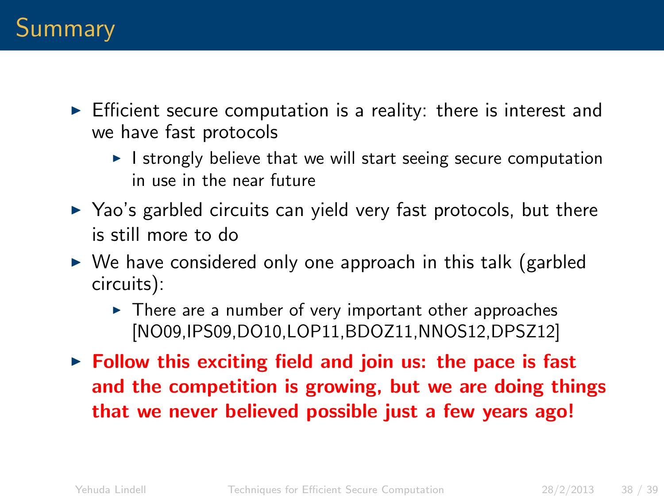- $\triangleright$  Efficient secure computation is a reality: there is interest and we have fast protocols
	- $\blacktriangleright$  I strongly believe that we will start seeing secure computation in use in the near future
- $\triangleright$  Yao's garbled circuits can yield very fast protocols, but there is still more to do
- $\triangleright$  We have considered only one approach in this talk (garbled circuits):
	- $\triangleright$  There are a number of very important other approaches [NO09,IPS09,DO10,LOP11,BDOZ11,NNOS12,DPSZ12]
- $\triangleright$  Follow this exciting field and join us: the pace is fast and the competition is growing, but we are doing things that we never believed possible just a few years ago!